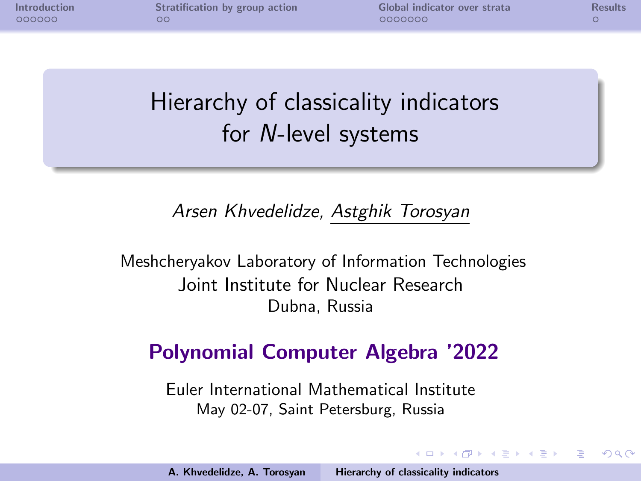<span id="page-0-0"></span>

| Introduction |  |
|--------------|--|
| 000000       |  |

[Introduction](#page-2-0) [Stratification by group action](#page-8-0) [Global indicator over strata](#page-10-0) [Results](#page-17-0)

イロメ イ押 トラ ミトラ ミト

へのへ

# Hierarchy of classicality indicators for N-level systems

Arsen Khvedelidze, Astghik Torosyan

Meshcheryakov Laboratory of Information Technologies Joint Institute for Nuclear Research Dubna, Russia

#### Polynomial Computer Algebra '2022

Euler International Mathematical Institute May 02-07, Saint Petersburg, Russia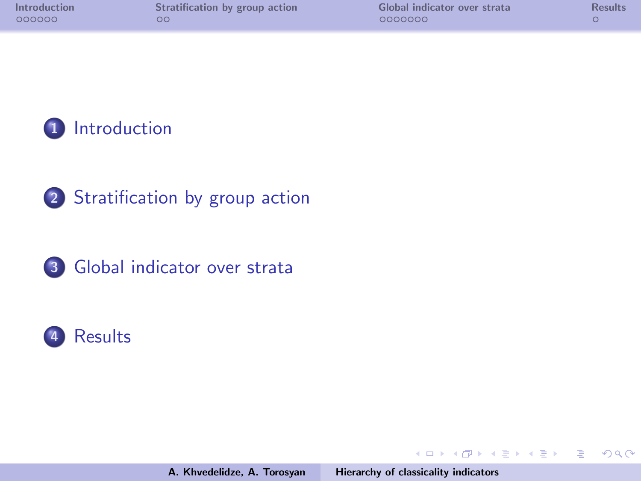| <b>Introduction</b> | Stratification by group action | Global indicator over strata | <b>Results</b> |
|---------------------|--------------------------------|------------------------------|----------------|
| 000000              | ОC                             | 0000000                      |                |



- 2 [Stratification by group action](#page-8-0)
- 3 [Global indicator over strata](#page-10-0)



A. Khvedelidze, A. Torosyan [Hierarchy of classicality indicators](#page-0-0)

**K ロ ▶ K 御 ▶ K 君 ▶ K 君 ▶** 

 $\equiv$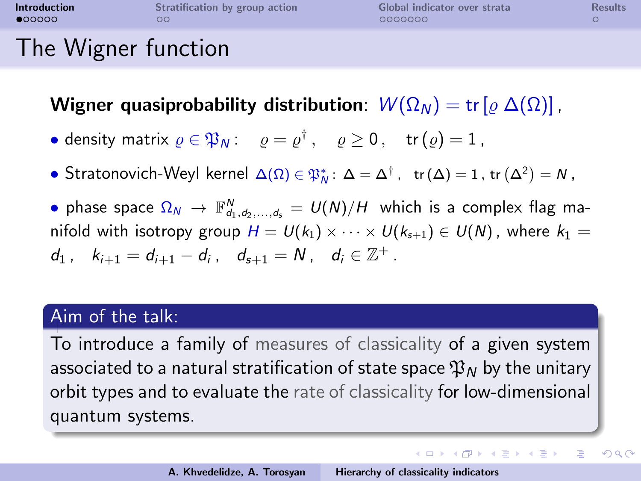<span id="page-2-0"></span>

| <b>Introduction</b>    | Stratification by group action | Global indicator over strata | <b>Results</b> |
|------------------------|--------------------------------|------------------------------|----------------|
| •00000                 | OС                             | 0000000                      |                |
| $\sim$<br>$\mathbf{A}$ |                                |                              |                |

#### I he Wigner function

Wigner quasiprobability distribution:  $W(\Omega_N) = \text{tr}[\rho \Delta(\Omega)]$ ,

• density matrix  $\varrho \in \mathfrak{P}_N$ :  $\varrho = \varrho^{\dagger}$ ,  $\varrho \geq 0$ , tr $(\varrho) = 1$ ,

• Stratonovich-Weyl kernel  $\Delta(\Omega) \in \mathfrak{P}_N^*$ :  $\Delta = \Delta^{\dagger}$ , tr $(\Delta) = 1$ , tr $(\Delta^2) = N$ ,

• phase space  $\Omega_N$   $\rightarrow$   $\mathbb{F}_{d_1, d_2, ..., d_s}^N$  =  $U(N)/H$  which is a complex flag manifold with isotropy group  $H = U(k_1) \times \cdots \times U(k_{s+1}) \in U(N)$ , where  $k_1 =$  $d_1$ ,  $k_{i+1} = d_{i+1} - d_i$ ,  $d_{s+1} = N$ ,  $d_i \in \mathbb{Z}^+$ .

#### Aim of the talk:

To introduce a family of measures of classicality of a given system associated to a natural stratification of state space  $\mathfrak{P}_N$  by the unitary orbit types and to evaluate the rate of classicality for low-dimensional quantum systems.

イロン イ団 メイミン イミン ニヨー

 $2Q$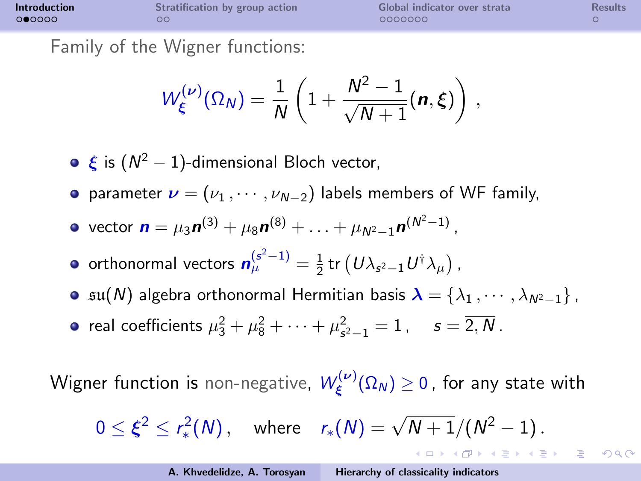| <b>Introduction</b> | Stratification by group action | Global indicator over strata | <b>Results</b> |
|---------------------|--------------------------------|------------------------------|----------------|
| 000000              | ОC                             | 0000000                      |                |

Family of the Wigner functions:

$$
W_{\xi}^{(\nu)}(\Omega_N) = \frac{1}{N} \left( 1 + \frac{N^2 - 1}{\sqrt{N+1}} (\mathbf{n}, \xi) \right) ,
$$

 $\xi$  is  $(N^2-1)$ -dimensional Bloch vector,

- parameter  $\nu = (\nu_1, \cdots, \nu_{N-2})$  labels members of WF family,
- vector  $\bm{n} = \mu_3 \bm{n}^{(3)} + \mu_8 \bm{n}^{(8)} + \ldots + \mu_{N^2-1} \bm{n}^{(N^2-1)}$  ,
- orthonormal vectors  $\bm{n}_{\mu}^{(s^2-1)} = \frac{1}{2} \, \mathsf{tr} \left( U\lambda_{s^2-1} U^\dagger \lambda_\mu \right)$  ,
- $\mathfrak{su}(N)$  algebra orthonormal Hermitian basis  $\boldsymbol{\lambda} = \{\lambda_1, \cdots, \lambda_{N^2-1}\}\,$ , real coefficients  $\mu_3^2 + \mu_8^2 + \cdots + \mu_{s^2-1}^2 = 1$ ,  $s = \overline{2, N}$ .

Wigner function is non-negative,  $\mathcal{W}^{(\nu)}_\varepsilon$  $\zeta^{(\nu)}_\xi(\Omega_N) \geq 0$  , for any state with

$$
0 \le \xi^2 \le r_*^2(N)\,, \quad \text{where} \quad r_*(N) = \sqrt{N+1}/(N^2-1)\,.
$$

メロメ メタメ メミメ メミメン ミ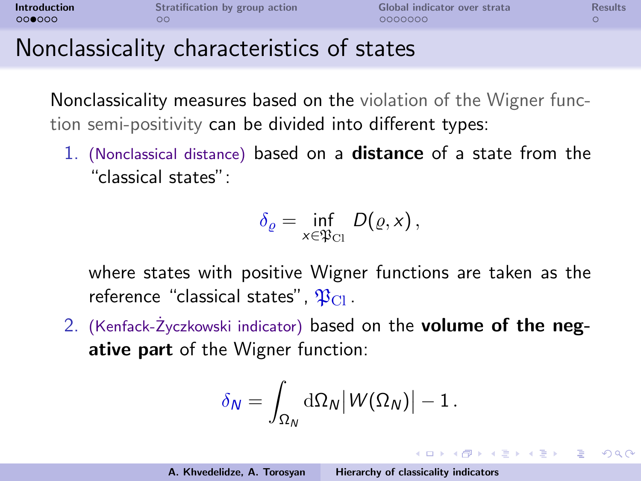| Introduction | Stratification by group action | Global indicator over strata | Results |
|--------------|--------------------------------|------------------------------|---------|
| 000000       | OO                             | 0000000                      |         |
|              |                                |                              |         |

#### Nonclassicality characteristics of states

Nonclassicality measures based on the violation of the Wigner function semi-positivity can be divided into different types:

1. (Nonclassical distance) based on a distance of a state from the "classical states":

$$
\delta_{\varrho} = \inf_{x \in \mathfrak{P}_{\mathrm{Cl}}} D(\varrho, x),
$$

where states with positive Wigner functions are taken as the reference "classical states",  $\mathfrak{P}_{\text{Cl}}$ .

2. (Kenfack-Życzkowski indicator) based on the volume of the negative part of the Wigner function:

$$
\delta_N = \int_{\Omega_N} {\rm d}\Omega_N \big| \, W(\Omega_N) \big| - 1 \, .
$$

メロメ メ御 メメ ヨメ メヨメ 一番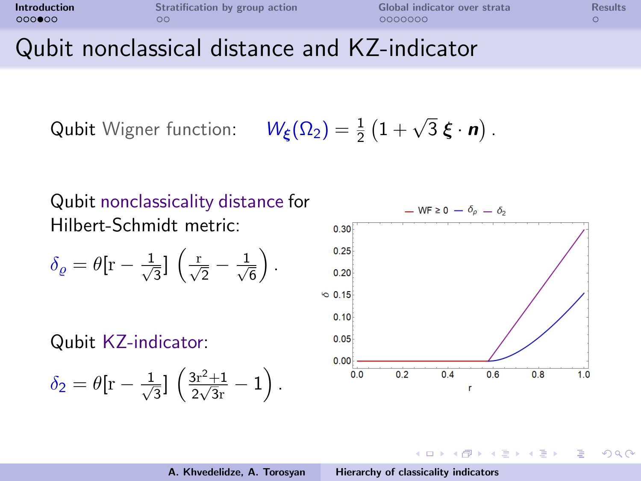| Introduction |  |
|--------------|--|
| 000000       |  |

[Introduction](#page-2-0) [Stratification by group action](#page-8-0) [Global indicator over strata](#page-10-0) [Results](#page-17-0)

#### Qubit nonclassical distance and KZ-indicator

Qubit Wigner function:  $\overline{1}$  $\frac{1}{2}(1+\sqrt{3}\,\boldsymbol{\xi}\cdot\boldsymbol{n})$ .

Qubit nonclassicality distance for Hilbert-Schmidt metric:

$$
\delta_{\varrho} = \theta \left[ \mathbf{r} - \frac{1}{\sqrt{3}} \right] \left( \frac{\mathbf{r}}{\sqrt{2}} - \frac{1}{\sqrt{6}} \right).
$$

Qubit KZ-indicator:

$$
\delta_2 = \theta[r - \frac{1}{\sqrt{3}}] \left( \frac{3r^2 + 1}{2\sqrt{3}r} - 1 \right).
$$



メロメ メタメ メミメ メミメー

Ξ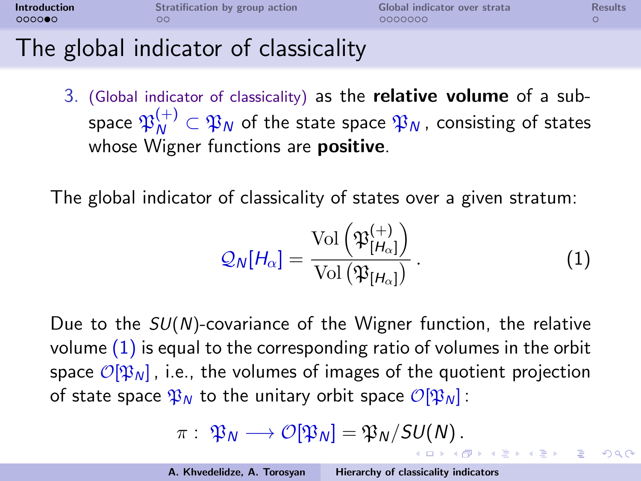| <b>Introduction</b> | Stratification by group action | Global indicator over strata | <b>Results</b> |
|---------------------|--------------------------------|------------------------------|----------------|
| 000000              | ၁၀                             | 0000000                      |                |

### The global indicator of classicality

3. (Global indicator of classicality) as the relative volume of a subspace  $\mathfrak{P}_N^{(+)}\subset\mathfrak{P}_N$  of the state space  $\mathfrak{P}_N$  , consisting of states whose Wigner functions are **positive**.

The global indicator of classicality of states over a given stratum:

<span id="page-6-0"></span>
$$
Q_N[H_\alpha] = \frac{\text{Vol}\left(\mathfrak{P}_{[H_\alpha]}^{(+)}\right)}{\text{Vol}\left(\mathfrak{P}_{[H_\alpha]}\right)}\,. \tag{1}
$$

 $\Omega$ 

Due to the  $SU(N)$ -covariance of the Wigner function, the relative volume  $(1)$  is equal to the corresponding ratio of volumes in the orbit space  $\mathcal{O}[\mathfrak{P}_N]$ , i.e., the volumes of images of the quotient projection of state space  $\mathfrak{P}_N$  to the unitary orbit space  $\mathcal{O}[\mathfrak{P}_N]$ :

$$
\pi: \mathfrak{P}_N \longrightarrow \mathcal{O}[\mathfrak{P}_N] = \mathfrak{P}_N / SU(N).
$$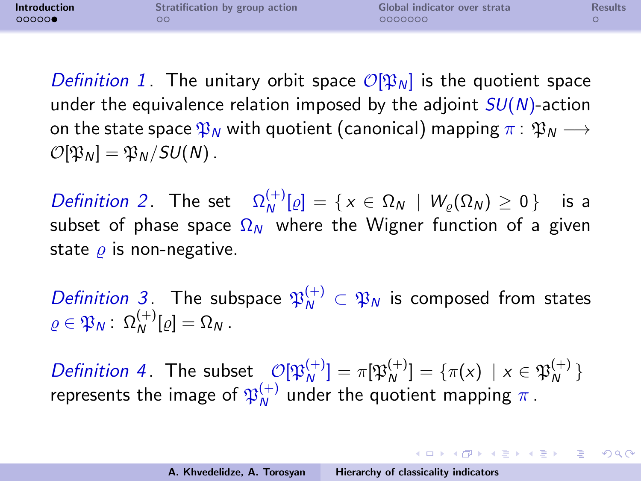<span id="page-7-0"></span>

| <b>Introduction</b> | Stratification by group action | Global indicator over strata | <b>Results</b> |
|---------------------|--------------------------------|------------------------------|----------------|
| 00000               | oс                             | 0000000                      |                |

Definition 1. The unitary orbit space  $\mathcal{O}[\mathfrak{P}_N]$  is the quotient space under the equivalence relation imposed by the adjoint  $SU(N)$ -action on the state space  $\mathfrak{B}_N$  with quotient (canonical) mapping  $\pi : \mathfrak{B}_N \longrightarrow$  $\mathcal{O}[\mathfrak{B}_N] = \mathfrak{B}_N / SU(N)$ .

*Definition 2*. The set  $\Omega_N^{(+)}$  $\binom{(+)}{N}[\varrho] = \{ x \in \Omega_N \mid W_\varrho(\Omega_N) \geq 0 \}$  is a subset of phase space  $\Omega_N$  where the Wigner function of a given state  $\rho$  is non-negative.

Definition 3. The subspace  $\mathfrak{P}_N^{(+)} \subset \mathfrak{P}_N$  is composed from states  $\varrho\in \mathfrak{P}_N:\ \Omega_N^{(+)}$  $N^{(+)}[\varrho] = \Omega_N$ .

*Definition 4*. The subset  $\mathcal{O}[\mathfrak{P}_N^{(+)}]$  $\binom{(+)}{N} = \pi[\mathfrak{P}_N^{(+)}]$  $\binom{(+)}{N} = \{\pi(x) \mid x \in \mathfrak{P}_N^{(+)}$  $\begin{matrix} \n\binom{+}{1} \n\end{matrix}$ represents the image of  $\mathfrak{P}_N^{(+)}$  $N^{(+)}$  under the quotient mapping  $\pi$ .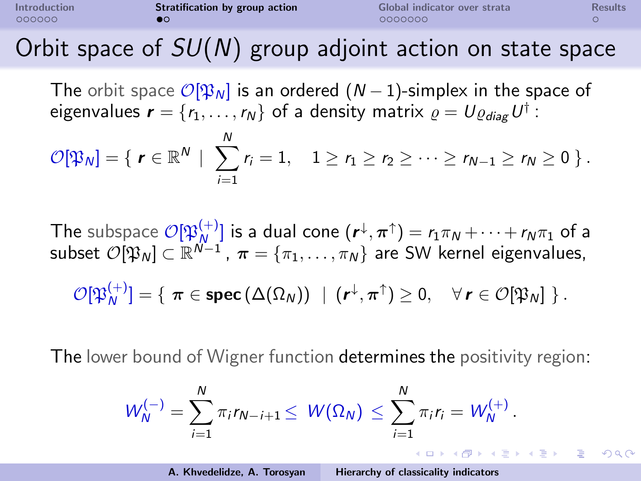<span id="page-8-0"></span>

|  |  |        |  | Introduction |  |
|--|--|--------|--|--------------|--|
|  |  | 000000 |  |              |  |

**[Stratification by group action](#page-8-0) [Global indicator over strata](#page-10-0)** [Results](#page-17-0)<br> **ACCODA COOOOOO** 

nnnnnn

## Orbit space of  $SU(N)$  group adjoint action on state space

The orbit space  $\mathcal{O}[\mathfrak{P}_N]$  is an ordered  $(N-1)$ -simplex in the space of eigenvalues  $\bm{r}=\{r_1,\ldots,r_N\}$  of a density matrix  $\varrho=U\varrho_{\sf diag}U^\dagger$  :

$$
\mathcal{O}[\mathfrak{P}_N]=\{\ \mathbf{r}\in\mathbb{R}^N\ |\ \sum_{i=1}^Nr_i=1,\quad 1\geq r_1\geq r_2\geq\cdots\geq r_{N-1}\geq r_N\geq 0\ \}\,.
$$

The subspace  $\mathcal{O}[\mathfrak{P}_N^{(+)}]$  $\left( \begin{smallmatrix} + & 1 \ N & -1 \end{smallmatrix} \right)$  is a dual cone  $(\boldsymbol{r}^{\downarrow}, \boldsymbol{\pi}^{\uparrow}) = r_1 \pi_N + \cdots + r_N \pi_1$  of a subset  $\mathcal{O}[\mathfrak{P}_N] \subset \mathbb{R}^{N-1}$  ,  $\bm{\pi} = \{\pi_1, \ldots, \pi_N\}$  are SW kernel eigenvalues,  $\mathcal{O}[\mathfrak{P}_N^{(+)}]$  $\mathcal{L}_{N}^{(+)}] = \{ \; \boldsymbol{\pi} \in \textbf{spec}\left(\Delta(\Omega_{N})\right) \; \mid \; (\boldsymbol{r}^{\downarrow}, \boldsymbol{\pi}^{\uparrow}) \geq 0, \quad \forall \, \boldsymbol{r} \in \mathcal{O}[\mathfrak{P}_{N}] \; \} \, .$ 

The lower bound of Wigner function determines the positivity region:

$$
W_N^{(-)} = \sum_{i=1}^N \pi_i r_{N-i+1} \leq W(\Omega_N) \leq \sum_{i=1}^N \pi_i r_i = W_N^{(+)}.
$$
  
A. Khvedelidee. A. Torosvan  
Hierarchy of classicality indicators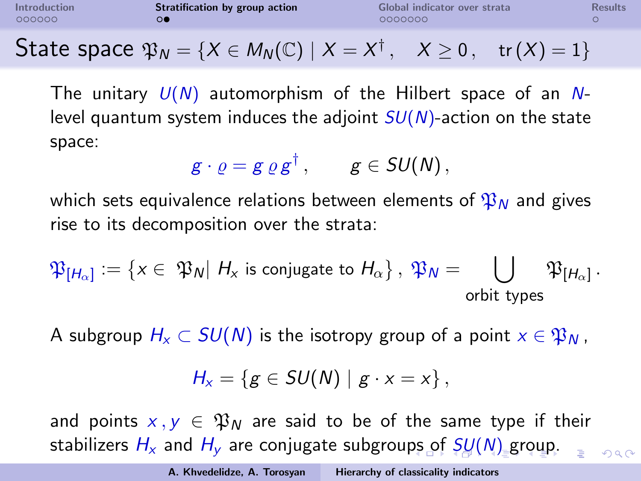<span id="page-9-0"></span>

| Introduction<br>000000 | Stratification by group action                                                                            | Global indicator over strata<br>0000000 | <b>Results</b> |
|------------------------|-----------------------------------------------------------------------------------------------------------|-----------------------------------------|----------------|
|                        | State space $\mathfrak{P}_N = \{X \in M_N(\mathbb{C}) \mid X = X^{\dagger}, X \geq 0, \text{tr}(X) = 1\}$ |                                         |                |

The unitary  $U(N)$  automorphism of the Hilbert space of an Nlevel quantum system induces the adjoint  $SU(N)$ -action on the state space:

$$
g\cdot \varrho = g \varrho g^{\dagger}, \qquad g \in SU(N),
$$

which sets equivalence relations between elements of  $\mathfrak{P}_N$  and gives rise to its decomposition over the strata:

$$
\mathfrak{P}_{[H_\alpha]}:=\left\{x\in \ \mathfrak{P}_N|\ H_x\ \text{is conjugate to}\ H_\alpha\right\},\ \mathfrak{P}_N=\bigcup_{\text{orbit types}}\mathfrak{P}_{[H_\alpha]}\,.
$$

A subgroup  $H_x \subset SU(N)$  is the isotropy group of a point  $x \in \mathfrak{P}_N$ ,

$$
H_x = \{g \in SU(N) \mid g \cdot x = x\},\
$$

and points  $x, y \in \mathfrak{P}_N$  are said to be of the same type if their stabilizers  $H_x$  and  $H_y$  are conjugate subgrou[ps](#page-8-0) [of](#page-10-0)  $SU(N)$  $SU(N)$  $SU(N)$  $SU(N)$  $SU(N)$  [gr](#page-10-0)[o](#page-7-0)[u](#page-8-0)[p](#page-9-0)[.](#page-10-0)  $OQ$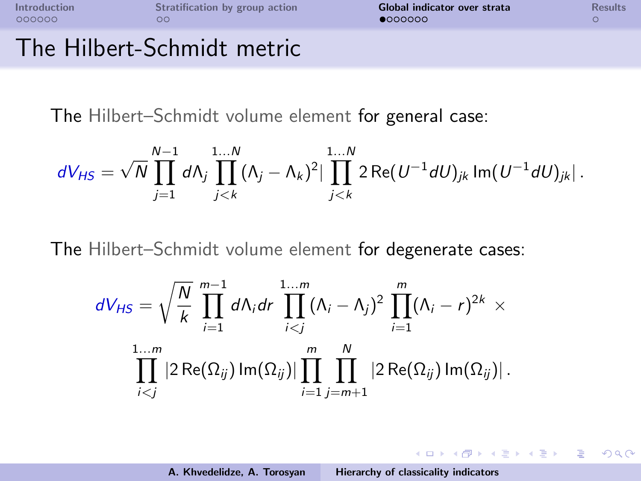<span id="page-10-0"></span>

| Introduction | Stratification by group action | Global indicator over strata | <b>Results</b> |
|--------------|--------------------------------|------------------------------|----------------|
| 000000       | ററ                             | •000000                      |                |
|              | The Hilbert-Schmidt metric     |                              |                |

The Hilbert–Schmidt volume element for general case:

$$
dV_{HS} = \sqrt{N} \prod_{j=1}^{N-1} d\Lambda_j \prod_{j
$$

The Hilbert–Schmidt volume element for degenerate cases:

$$
dV_{HS} = \sqrt{\frac{N}{k}} \prod_{i=1}^{m-1} d\Lambda_i dr \prod_{i
$$

メロトメ 倒 トメ ミトメ ミト

 $\equiv$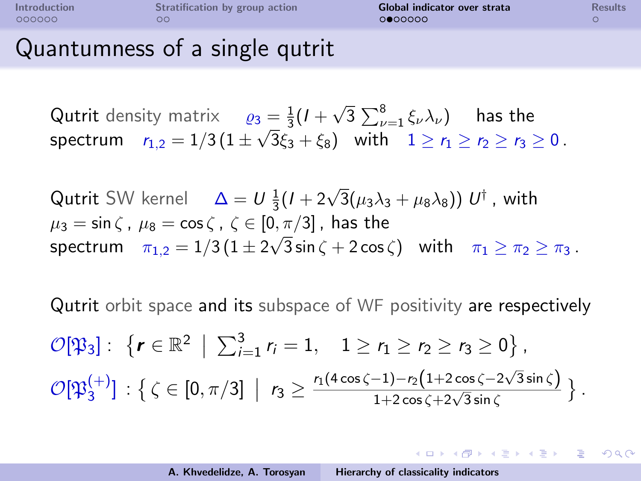| Introduction |  |
|--------------|--|
| 000000       |  |

[Stratification by group action](#page-8-0) **[Global indicator over strata](#page-10-0)** [Results](#page-17-0)<br>  $\Omega$ 

KO KARK KEK KEK E YOKO

## Quantumness of a single qutrit

**Qutrit** density matrix  $\qquad \varrho_3 = \frac{1}{3}(I +$ √  $\overline{3}\, \sum_{\nu=1}^8 \xi_\nu \lambda_\nu)$  has the spectrum  $r_{1,2} = 1/3 (1 \pm \sqrt{3} \xi_3 + \xi_8)$  with  $1 \ge r_1 \ge r_2 \ge r_3 \ge 0$ .

Qutrit SW kernel  $\Delta = U \frac{1}{3}(I + 2\sqrt{3}(\mu_3\lambda_3 + \mu_8\lambda_8)) U^{\dagger}$  , with  $\mu_3 = \sin \zeta$ ,  $\mu_8 = \cos \zeta$ ,  $\zeta \in [0, \pi/3]$ , has the  $\mu_3$  = sin(;  $\mu_8$  = cos(;  $\zeta \in [0, \frac{\pi}{3}]$ ; has the<br>spectrum  $\pi_{1,2} = 1/3 (1 \pm 2\sqrt{3} \sin \zeta + 2 \cos \zeta)$  with  $\pi_1 \ge \pi_2 \ge \pi_3$ .

Qutrit orbit space and its subspace of WF positivity are respectively  $\mathcal{O}[\mathfrak{P}_3]: \ \left\{ r \in \mathbb{R}^2 \; \Big| \; \sum_{i=1}^3 r_i = 1, \quad 1 \geq r_1 \geq r_2 \geq r_3 \geq 0 \right\},\$  $\mathcal{O}[\mathfrak{P}_3^{(+)}]$  $\binom{(+)}{3}: \left\{ \zeta \in [0, \pi/3] \; \Big| \; \; r_3 \geq \frac{r_1(4\cos\zeta - 1) - r_2\left(1 + 2\cos\zeta - 2\sqrt{3}\sin\zeta\right)}{1 + 2\cos\zeta + 2\sqrt{3}\sin\zeta} \; \right\}.$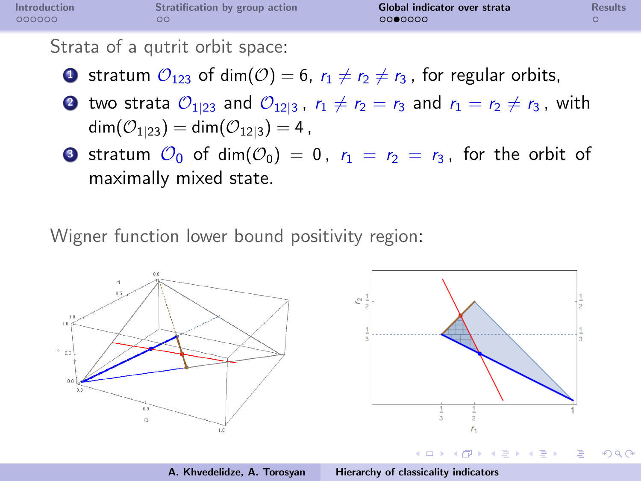| <b>Introduction</b> | Stratification by group action | Global indicator over strata | <b>Results</b> |
|---------------------|--------------------------------|------------------------------|----------------|
| 000000              | OС                             | 0000000                      |                |

Strata of a qutrit orbit space:

- **1** stratum  $\mathcal{O}_{123}$  of dim( $\mathcal{O}$ ) = 6,  $r_1 \neq r_2 \neq r_3$ , for regular orbits,
- **2** two strata  $\mathcal{O}_{1/23}$  and  $\mathcal{O}_{1/23}$ ,  $r_1 \neq r_2 = r_3$  and  $r_1 = r_2 \neq r_3$ , with  $\dim(\mathcal{O}_{1|23}) = \dim(\mathcal{O}_{12|3}) = 4$ ,
- 3 stratum  $\mathcal{O}_0$  of dim $(\mathcal{O}_0) = 0$ ,  $r_1 = r_2 = r_3$ , for the orbit of maximally mixed state.

Wigner function lower bound positivity region:



 $(1, 1)$   $(1, 1)$   $(1, 1)$   $(1, 1)$   $(1, 1)$ 

 $\epsilon = 1$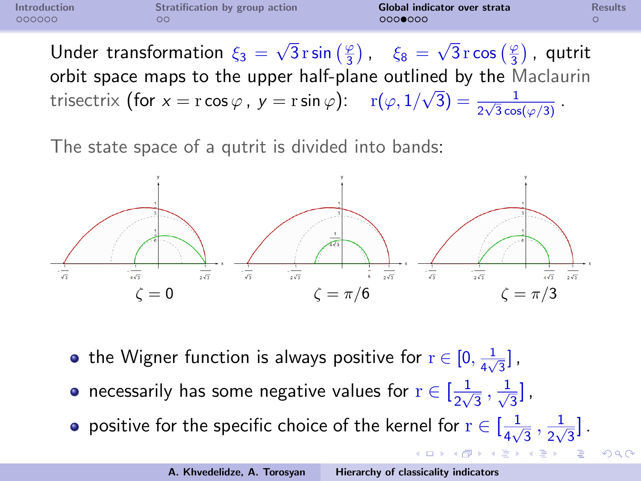メロメ メタメ メミメ メミメ

 $2Q$ 

Under transformation  $\xi_3 = \sqrt{3} \sin \left( \frac{\varphi}{3} \right)$ ,  $\xi_8 = \sqrt{3} \cos \left( \frac{\varphi}{3} \right)$ , qutrit orbit space maps to the upper half-plane outlined by the Maclaurin trisectrix (for  $x = r \cos \varphi$ ,  $y = r \sin \varphi$ ):  $r(\varphi, 1/\sqrt{3}) = \frac{1}{2\sqrt{3} \cos(\varphi/3)}$ .

The state space of a qutrit is divided into bands:



- the Wigner function is always positive for  $r \in [0, \frac{1}{4\pi\epsilon}]$  $\frac{1}{4\sqrt{3}}$ ,
- necessarily has some negative values for  $r \in [\frac{1}{2}]$  $\frac{1}{2\sqrt{3}}\,,\frac{1}{\sqrt{3}}$  $\frac{1}{3}$ ],
- positive for the specific choice of the kernel for  $r \in [\frac{1}{4}]$  $\frac{1}{4\sqrt{3}}\,,\frac{1}{2\sqrt{3}}$  $\frac{1}{2\sqrt{3}}$ .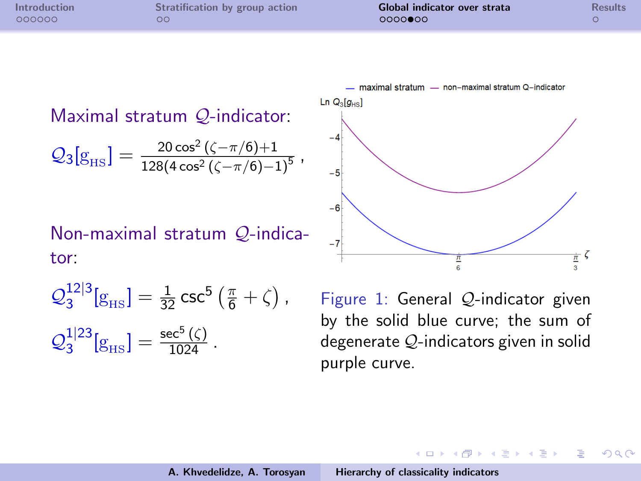| Introduction | Stratification by group action | Global indicator over strata | <b>Results</b> |
|--------------|--------------------------------|------------------------------|----------------|
| 000000       | OС                             | 0000000                      |                |
|              |                                |                              |                |

Maximal stratum Q-indicator:

$$
\mathcal{Q}_{3} [g_{\text{HS}}] = \frac{20 \cos^2\left(\zeta - \pi/6\right) + 1}{128 (4 \cos^2\left(\zeta - \pi/6\right) - 1)^5} \ ,
$$

Non-maximal stratum Q-indicator:

$$
\begin{aligned} \mathcal{Q}_3^{12|3}[g_{\text{HS}}] &= \frac{1}{32} \csc^5 \left( \frac{\pi}{6} + \zeta \right), \\ \mathcal{Q}_3^{1|23}[g_{\text{HS}}] &= \frac{\sec^5 \left( \zeta \right)}{1024} . \end{aligned}
$$

Figure 1: General Q-indicator given by the solid blue curve; the sum of degenerate Q-indicators given in solid purple curve.

**K ロ ▶ K 御 ▶ K 君 ▶ K 君 ▶** 



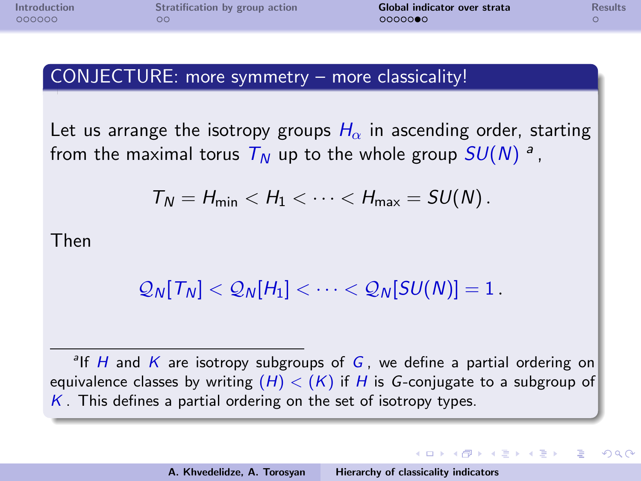| Introduction |  |
|--------------|--|
| 000000       |  |

[Stratification by group action](#page-8-0) **[Global indicator over strata](#page-10-0)** [Results](#page-17-0)<br>  $\begin{array}{ccc}\n 0 & 0 & 0 \\
0 & 0 & 0\n \end{array}$ 

 $\Omega$ 

#### CONJECTURE: more symmetry – more classicality!

Let us arrange the isotropy groups  $H_{\alpha}$  in ascending order, starting from the maximal torus  $T_N$  up to the whole group  $SU(N)$   $^a$  ,

$$
T_N=H_{\min}
$$

Then

 $Q_N[T_N] < Q_N[H_1] < \cdots < Q_N[SU(N)] = 1$ .

<sup>a</sup>lf H and K are isotropy subgroups of  $G$ , we define a partial ordering on equivalence classes by writing  $(H) < (K)$  if H is G-conjugate to a subgroup of  $K$ . This defines a partial ordering on the set of isotropy types.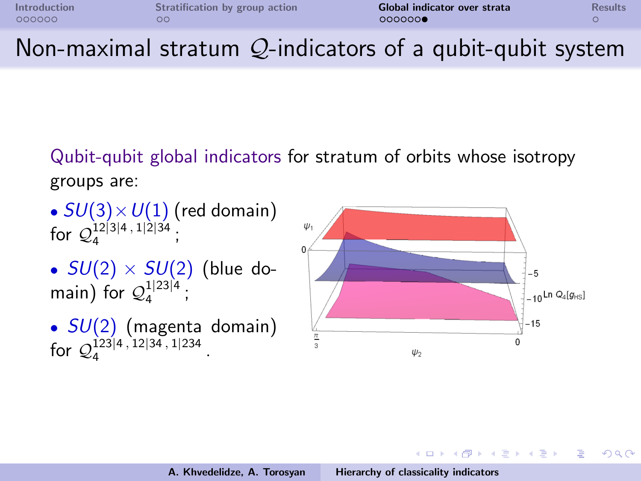| Introduction | Stratification by group action | Global indicator over strata | <b>Results</b> |
|--------------|--------------------------------|------------------------------|----------------|
| 000000       | OС                             | 0000000                      |                |
|              |                                |                              |                |

Non-maximal stratum  $Q$ -indicators of a qubit-qubit system

Qubit-qubit global indicators for stratum of orbits whose isotropy groups are:

- $SU(3) \times U(1)$  (red domain) for  $\mathcal{Q}_4^{12|3|4, 1|2|34}$  ;
- $SU(2) \times SU(2)$  (blue domain) for  $\mathcal{Q}_4^{1|23|4}$ ;
- $SU(2)$  (magenta domain) for  $\mathcal{Q}_4^{123|4, 12|34, 1|234}$ .